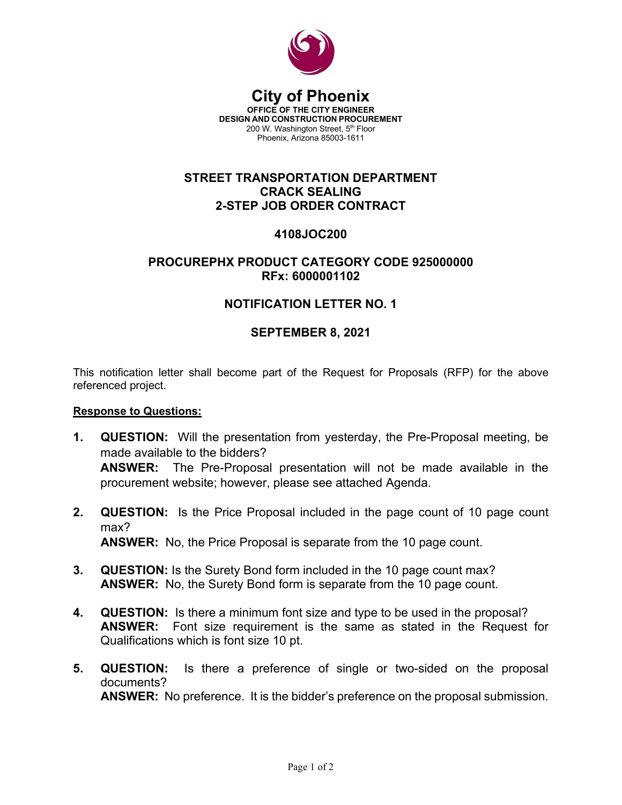

#### **City of Phoenix OFFICE OF THE CITY ENGINEER DESIGN AND CONSTRUCTION PROCUREMENT** 200 W. Washington Street, 5<sup>th</sup> Floor Phoenix, Arizona 85003-1611

## **STREET TRANSPORTATION DEPARTMENT CRACK SEALING 2-STEP JOB ORDER CONTRACT**

## **4108JOC200**

## **PROCUREPHX PRODUCT CATEGORY CODE 925000000 RFx: 6000001102**

# **NOTIFICATION LETTER NO. 1**

### **SEPTEMBER 8, 2021**

This notification letter shall become part of the Request for Proposals (RFP) for the above referenced project.

#### **Response to Questions:**

- **1. QUESTION:** Will the presentation from yesterday, the Pre-Proposal meeting, be made available to the bidders? **ANSWER:** The Pre-Proposal presentation will not be made available in the procurement website; however, please see attached Agenda.
- **2. QUESTION:** Is the Price Proposal included in the page count of 10 page count max? **ANSWER:** No, the Price Proposal is separate from the 10 page count.
- **3. QUESTION:** Is the Surety Bond form included in the 10 page count max? **ANSWER:** No, the Surety Bond form is separate from the 10 page count.
- **4. QUESTION:** Is there a minimum font size and type to be used in the proposal? **ANSWER:** Font size requirement is the same as stated in the Request for Qualifications which is font size 10 pt.
- **5. QUESTION:** Is there a preference of single or two-sided on the proposal documents? **ANSWER:** No preference. It is the bidder's preference on the proposal submission.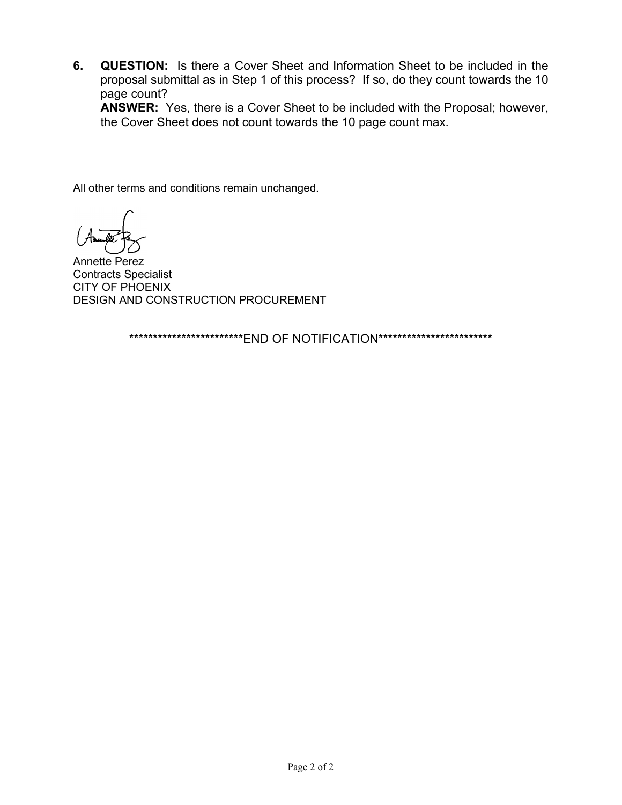**6. QUESTION:** Is there a Cover Sheet and Information Sheet to be included in the proposal submittal as in Step 1 of this process? If so, do they count towards the 10 page count?

**ANSWER:** Yes, there is a Cover Sheet to be included with the Proposal; however, the Cover Sheet does not count towards the 10 page count max.

All other terms and conditions remain unchanged.

Annette Perez Contracts Specialist CITY OF PHOENIX DESIGN AND CONSTRUCTION PROCUREMENT

\*\*\*\*\*\*\*\*\*\*\*\*\*\*\*\*\*\*\*\*\*\*\*\*\*END OF NOTIFICATION\*\*\*\*\*\*\*\*\*\*\*\*\*\*\*\*\*\*\*\*\*\*\*\*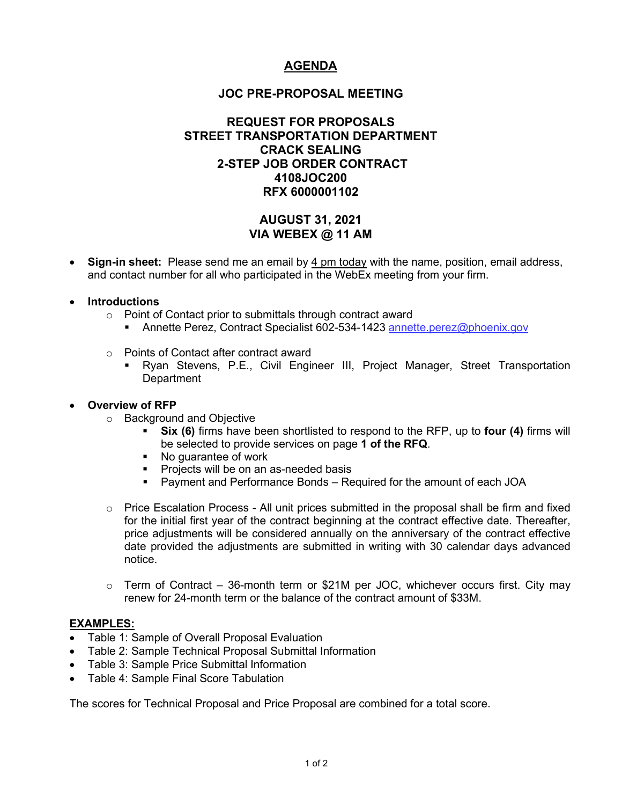# **AGENDA**

### **JOC PRE-PROPOSAL MEETING**

### **REQUEST FOR PROPOSALS STREET TRANSPORTATION DEPARTMENT CRACK SEALING 2-STEP JOB ORDER CONTRACT 4108JOC200 RFX 6000001102**

## **AUGUST 31, 2021 VIA WEBEX @ 11 AM**

• **Sign-in sheet:** Please send me an email by 4 pm today with the name, position, email address, and contact number for all who participated in the WebEx meeting from your firm.

#### • **Introductions**

- o Point of Contact prior to submittals through contract award
	- Annette Perez, Contract Specialist 602-534-1423 [annette.perez@phoenix.gov](mailto:annette.perez@phoenix.gov)
- o Points of Contact after contract award
	- Ryan Stevens, P.E., Civil Engineer III, Project Manager, Street Transportation **Department**

#### • **Overview of RFP**

- o Background and Objective
	- **Six (6)** firms have been shortlisted to respond to the RFP, up to **four (4)** firms will be selected to provide services on page **1 of the RFQ**.
	- No quarantee of work
	- **Projects will be on an as-needed basis**
	- Payment and Performance Bonds Required for the amount of each JOA
- $\circ$  Price Escalation Process All unit prices submitted in the proposal shall be firm and fixed for the initial first year of the contract beginning at the contract effective date. Thereafter, price adjustments will be considered annually on the anniversary of the contract effective date provided the adjustments are submitted in writing with 30 calendar days advanced notice.
- $\circ$  Term of Contract 36-month term or \$21M per JOC, whichever occurs first. City may renew for 24-month term or the balance of the contract amount of \$33M.

#### **EXAMPLES:**

- Table 1: Sample of Overall Proposal Evaluation
- Table 2: Sample Technical Proposal Submittal Information
- Table 3: Sample Price Submittal Information
- Table 4: Sample Final Score Tabulation

The scores for Technical Proposal and Price Proposal are combined for a total score.